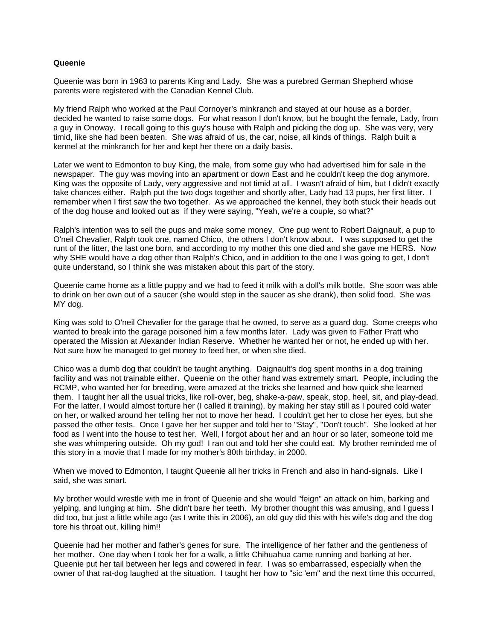## **Queenie**

Queenie was born in 1963 to parents King and Lady. She was a purebred German Shepherd whose parents were registered with the Canadian Kennel Club.

My friend Ralph who worked at the Paul Cornoyer's minkranch and stayed at our house as a border, decided he wanted to raise some dogs. For what reason I don't know, but he bought the female, Lady, from a guy in Onoway. I recall going to this guy's house with Ralph and picking the dog up. She was very, very timid, like she had been beaten. She was afraid of us, the car, noise, all kinds of things. Ralph built a kennel at the minkranch for her and kept her there on a daily basis.

Later we went to Edmonton to buy King, the male, from some guy who had advertised him for sale in the newspaper. The guy was moving into an apartment or down East and he couldn't keep the dog anymore. King was the opposite of Lady, very aggressive and not timid at all. I wasn't afraid of him, but I didn't exactly take chances either. Ralph put the two dogs together and shortly after, Lady had 13 pups, her first litter. I remember when I first saw the two together. As we approached the kennel, they both stuck their heads out of the dog house and looked out as if they were saying, "Yeah, we're a couple, so what?"

Ralph's intention was to sell the pups and make some money. One pup went to Robert Daignault, a pup to O'neil Chevalier, Ralph took one, named Chico, the others I don't know about. I was supposed to get the runt of the litter, the last one born, and according to my mother this one died and she gave me HERS. Now why SHE would have a dog other than Ralph's Chico, and in addition to the one I was going to get, I don't quite understand, so I think she was mistaken about this part of the story.

Queenie came home as a little puppy and we had to feed it milk with a doll's milk bottle. She soon was able to drink on her own out of a saucer (she would step in the saucer as she drank), then solid food. She was MY dog.

King was sold to O'neil Chevalier for the garage that he owned, to serve as a guard dog. Some creeps who wanted to break into the garage poisoned him a few months later. Lady was given to Father Pratt who operated the Mission at Alexander Indian Reserve. Whether he wanted her or not, he ended up with her. Not sure how he managed to get money to feed her, or when she died.

Chico was a dumb dog that couldn't be taught anything. Daignault's dog spent months in a dog training facility and was not trainable either. Queenie on the other hand was extremely smart. People, including the RCMP, who wanted her for breeding, were amazed at the tricks she learned and how quick she learned them. I taught her all the usual tricks, like roll-over, beg, shake-a-paw, speak, stop, heel, sit, and play-dead. For the latter, I would almost torture her (I called it training), by making her stay still as I poured cold water on her, or walked around her telling her not to move her head. I couldn't get her to close her eyes, but she passed the other tests. Once I gave her her supper and told her to "Stay", "Don't touch". She looked at her food as I went into the house to test her. Well, I forgot about her and an hour or so later, someone told me she was whimpering outside. Oh my god! I ran out and told her she could eat. My brother reminded me of this story in a movie that I made for my mother's 80th birthday, in 2000.

When we moved to Edmonton, I taught Queenie all her tricks in French and also in hand-signals. Like I said, she was smart.

My brother would wrestle with me in front of Queenie and she would "feign" an attack on him, barking and yelping, and lunging at him. She didn't bare her teeth. My brother thought this was amusing, and I guess I did too, but just a little while ago (as I write this in 2006), an old guy did this with his wife's dog and the dog tore his throat out, killing him!!

Queenie had her mother and father's genes for sure. The intelligence of her father and the gentleness of her mother. One day when I took her for a walk, a little Chihuahua came running and barking at her. Queenie put her tail between her legs and cowered in fear. I was so embarrassed, especially when the owner of that rat-dog laughed at the situation. I taught her how to "sic 'em" and the next time this occurred,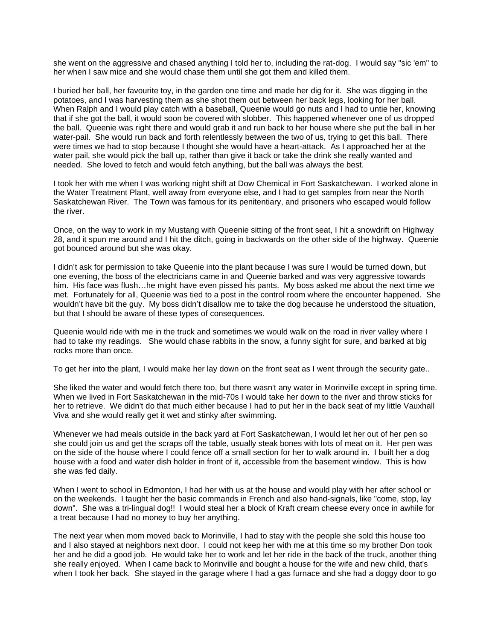she went on the aggressive and chased anything I told her to, including the rat-dog. I would say "sic 'em" to her when I saw mice and she would chase them until she got them and killed them.

I buried her ball, her favourite toy, in the garden one time and made her dig for it. She was digging in the potatoes, and I was harvesting them as she shot them out between her back legs, looking for her ball. When Ralph and I would play catch with a baseball, Queenie would go nuts and I had to untie her, knowing that if she got the ball, it would soon be covered with slobber. This happened whenever one of us dropped the ball. Queenie was right there and would grab it and run back to her house where she put the ball in her water-pail. She would run back and forth relentlessly between the two of us, trying to get this ball. There were times we had to stop because I thought she would have a heart-attack. As I approached her at the water pail, she would pick the ball up, rather than give it back or take the drink she really wanted and needed. She loved to fetch and would fetch anything, but the ball was always the best.

I took her with me when I was working night shift at Dow Chemical in Fort Saskatchewan. I worked alone in the Water Treatment Plant, well away from everyone else, and I had to get samples from near the North Saskatchewan River. The Town was famous for its penitentiary, and prisoners who escaped would follow the river.

Once, on the way to work in my Mustang with Queenie sitting of the front seat, I hit a snowdrift on Highway 28, and it spun me around and I hit the ditch, going in backwards on the other side of the highway. Queenie got bounced around but she was okay.

I didn't ask for permission to take Queenie into the plant because I was sure I would be turned down, but one evening, the boss of the electricians came in and Queenie barked and was very aggressive towards him. His face was flush…he might have even pissed his pants. My boss asked me about the next time we met. Fortunately for all, Queenie was tied to a post in the control room where the encounter happened. She wouldn't have bit the guy. My boss didn't disallow me to take the dog because he understood the situation, but that I should be aware of these types of consequences.

Queenie would ride with me in the truck and sometimes we would walk on the road in river valley where I had to take my readings. She would chase rabbits in the snow, a funny sight for sure, and barked at big rocks more than once.

To get her into the plant, I would make her lay down on the front seat as I went through the security gate..

She liked the water and would fetch there too, but there wasn't any water in Morinville except in spring time. When we lived in Fort Saskatchewan in the mid-70s I would take her down to the river and throw sticks for her to retrieve. We didn't do that much either because I had to put her in the back seat of my little Vauxhall Viva and she would really get it wet and stinky after swimming.

Whenever we had meals outside in the back yard at Fort Saskatchewan, I would let her out of her pen so she could join us and get the scraps off the table, usually steak bones with lots of meat on it. Her pen was on the side of the house where I could fence off a small section for her to walk around in. I built her a dog house with a food and water dish holder in front of it, accessible from the basement window. This is how she was fed daily.

When I went to school in Edmonton, I had her with us at the house and would play with her after school or on the weekends. I taught her the basic commands in French and also hand-signals, like "come, stop, lay down". She was a tri-lingual dog!! I would steal her a block of Kraft cream cheese every once in awhile for a treat because I had no money to buy her anything.

The next year when mom moved back to Morinville, I had to stay with the people she sold this house too and I also stayed at neighbors next door. I could not keep her with me at this time so my brother Don took her and he did a good job. He would take her to work and let her ride in the back of the truck, another thing she really enjoyed. When I came back to Morinville and bought a house for the wife and new child, that's when I took her back. She stayed in the garage where I had a gas furnace and she had a doggy door to go